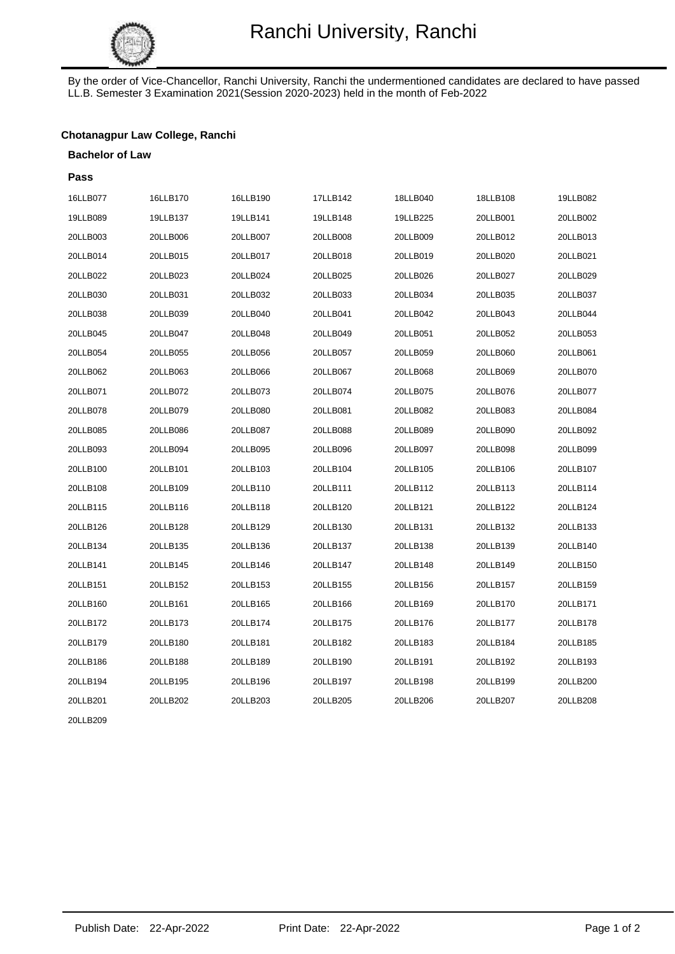

By the order of Vice-Chancellor, Ranchi University, Ranchi the undermentioned candidates are declared to have passed LL.B. Semester 3 Examination 2021(Session 2020-2023) held in the month of Feb-2022

## **Chotanagpur Law College, Ranchi**

#### **Bachelor of Law**

| Pass     |          |          |          |          |          |          |
|----------|----------|----------|----------|----------|----------|----------|
| 16LLB077 | 16LLB170 | 16LLB190 | 17LLB142 | 18LLB040 | 18LLB108 | 19LLB082 |
| 19LLB089 | 19LLB137 | 19LLB141 | 19LLB148 | 19LLB225 | 20LLB001 | 20LLB002 |
| 20LLB003 | 20LLB006 | 20LLB007 | 20LLB008 | 20LLB009 | 20LLB012 | 20LLB013 |
| 20LLB014 | 20LLB015 | 20LLB017 | 20LLB018 | 20LLB019 | 20LLB020 | 20LLB021 |
| 20LLB022 | 20LLB023 | 20LLB024 | 20LLB025 | 20LLB026 | 20LLB027 | 20LLB029 |
| 20LLB030 | 20LLB031 | 20LLB032 | 20LLB033 | 20LLB034 | 20LLB035 | 20LLB037 |
| 20LLB038 | 20LLB039 | 20LLB040 | 20LLB041 | 20LLB042 | 20LLB043 | 20LLB044 |
| 20LLB045 | 20LLB047 | 20LLB048 | 20LLB049 | 20LLB051 | 20LLB052 | 20LLB053 |
| 20LLB054 | 20LLB055 | 20LLB056 | 20LLB057 | 20LLB059 | 20LLB060 | 20LLB061 |
| 20LLB062 | 20LLB063 | 20LLB066 | 20LLB067 | 20LLB068 | 20LLB069 | 20LLB070 |
| 20LLB071 | 20LLB072 | 20LLB073 | 20LLB074 | 20LLB075 | 20LLB076 | 20LLB077 |
| 20LLB078 | 20LLB079 | 20LLB080 | 20LLB081 | 20LLB082 | 20LLB083 | 20LLB084 |
| 20LLB085 | 20LLB086 | 20LLB087 | 20LLB088 | 20LLB089 | 20LLB090 | 20LLB092 |
| 20LLB093 | 20LLB094 | 20LLB095 | 20LLB096 | 20LLB097 | 20LLB098 | 20LLB099 |
| 20LLB100 | 20LLB101 | 20LLB103 | 20LLB104 | 20LLB105 | 20LLB106 | 20LLB107 |
| 20LLB108 | 20LLB109 | 20LLB110 | 20LLB111 | 20LLB112 | 20LLB113 | 20LLB114 |
| 20LLB115 | 20LLB116 | 20LLB118 | 20LLB120 | 20LLB121 | 20LLB122 | 20LLB124 |
| 20LLB126 | 20LLB128 | 20LLB129 | 20LLB130 | 20LLB131 | 20LLB132 | 20LLB133 |
| 20LLB134 | 20LLB135 | 20LLB136 | 20LLB137 | 20LLB138 | 20LLB139 | 20LLB140 |
| 20LLB141 | 20LLB145 | 20LLB146 | 20LLB147 | 20LLB148 | 20LLB149 | 20LLB150 |
| 20LLB151 | 20LLB152 | 20LLB153 | 20LLB155 | 20LLB156 | 20LLB157 | 20LLB159 |
| 20LLB160 | 20LLB161 | 20LLB165 | 20LLB166 | 20LLB169 | 20LLB170 | 20LLB171 |
| 20LLB172 | 20LLB173 | 20LLB174 | 20LLB175 | 20LLB176 | 20LLB177 | 20LLB178 |
| 20LLB179 | 20LLB180 | 20LLB181 | 20LLB182 | 20LLB183 | 20LLB184 | 20LLB185 |
| 20LLB186 | 20LLB188 | 20LLB189 | 20LLB190 | 20LLB191 | 20LLB192 | 20LLB193 |
| 20LLB194 | 20LLB195 | 20LLB196 | 20LLB197 | 20LLB198 | 20LLB199 | 20LLB200 |
| 20LLB201 | 20LLB202 | 20LLB203 | 20LLB205 | 20LLB206 | 20LLB207 | 20LLB208 |
| 20LLB209 |          |          |          |          |          |          |